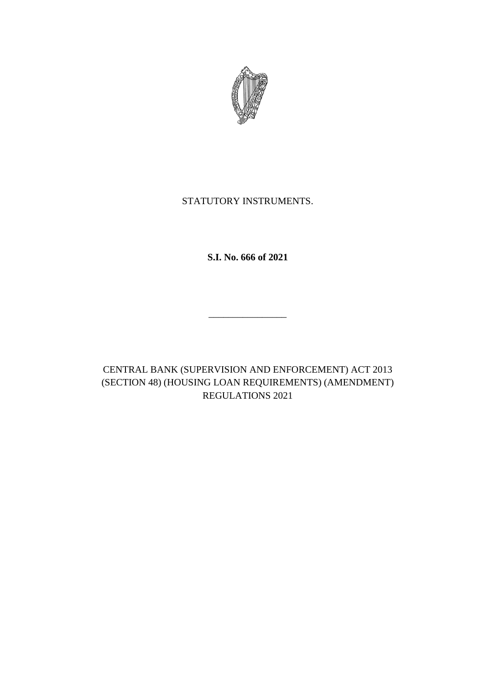

# STATUTORY INSTRUMENTS.

**S.I. No. 666 of 2021**

\_\_\_\_\_\_\_\_\_\_\_\_\_\_\_\_

CENTRAL BANK (SUPERVISION AND ENFORCEMENT) ACT 2013 (SECTION 48) (HOUSING LOAN REQUIREMENTS) (AMENDMENT) REGULATIONS 2021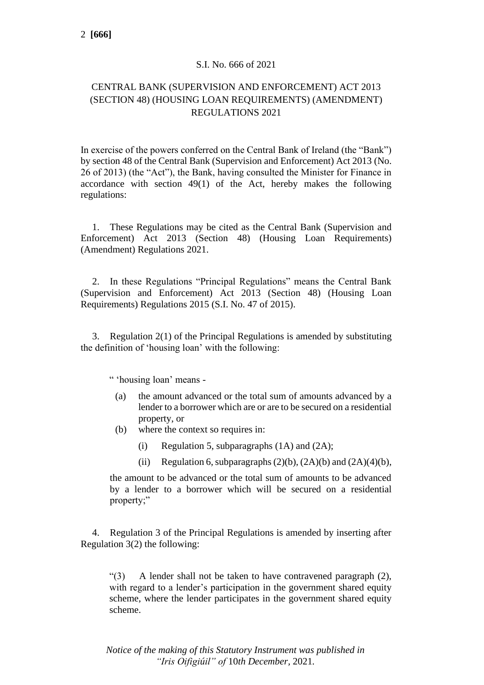### S.I. No. 666 of 2021

### CENTRAL BANK (SUPERVISION AND ENFORCEMENT) ACT 2013 (SECTION 48) (HOUSING LOAN REQUIREMENTS) (AMENDMENT) REGULATIONS 2021

In exercise of the powers conferred on the Central Bank of Ireland (the "Bank") by section 48 of the Central Bank (Supervision and Enforcement) Act 2013 (No. 26 of 2013) (the "Act"), the Bank, having consulted the Minister for Finance in accordance with section 49(1) of the Act, hereby makes the following regulations:

1. These Regulations may be cited as the Central Bank (Supervision and Enforcement) Act 2013 (Section 48) (Housing Loan Requirements) (Amendment) Regulations 2021.

2. In these Regulations "Principal Regulations" means the Central Bank (Supervision and Enforcement) Act 2013 (Section 48) (Housing Loan Requirements) Regulations 2015 (S.I. No. 47 of 2015).

3. Regulation 2(1) of the Principal Regulations is amended by substituting the definition of 'housing loan' with the following:

" 'housing loan' means -

- (a) the amount advanced or the total sum of amounts advanced by a lender to a borrower which are or are to be secured on a residential property, or
- (b) where the context so requires in:
	- (i) Regulation 5, subparagraphs  $(1A)$  and  $(2A)$ ;
	- (ii) Regulation 6, subparagraphs  $(2)(b)$ ,  $(2A)(b)$  and  $(2A)(4)(b)$ ,

the amount to be advanced or the total sum of amounts to be advanced by a lender to a borrower which will be secured on a residential property;"

4. Regulation 3 of the Principal Regulations is amended by inserting after Regulation 3(2) the following:

"(3) A lender shall not be taken to have contravened paragraph (2), with regard to a lender's participation in the government shared equity scheme, where the lender participates in the government shared equity scheme.

*Notice of the making of this Statutory Instrument was published in "Iris Oifigiúil" of* 10*th December,* 2021*.*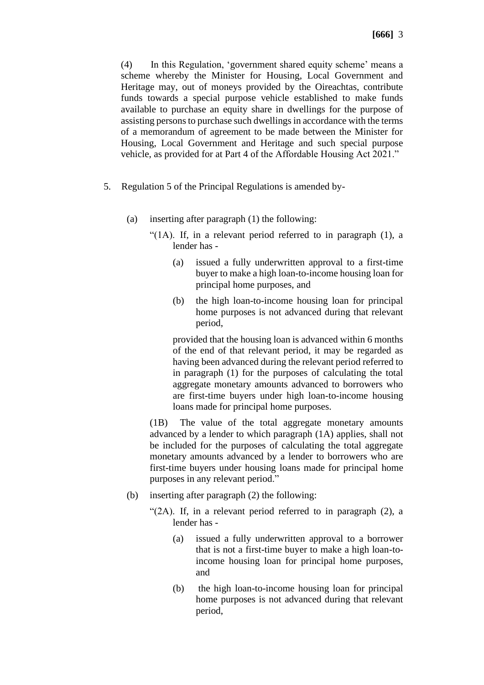(4) In this Regulation, 'government shared equity scheme' means a scheme whereby the Minister for Housing, Local Government and Heritage may, out of moneys provided by the Oireachtas, contribute funds towards a special purpose vehicle established to make funds available to purchase an equity share in dwellings for the purpose of assisting persons to purchase such dwellings in accordance with the terms of a memorandum of agreement to be made between the Minister for Housing, Local Government and Heritage and such special purpose vehicle, as provided for at Part 4 of the Affordable Housing Act 2021."

- 5. Regulation 5 of the Principal Regulations is amended by-
	- (a) inserting after paragraph (1) the following:
		- "(1A). If, in a relevant period referred to in paragraph (1), a lender has -
			- (a) issued a fully underwritten approval to a first-time buyer to make a high loan-to-income housing loan for principal home purposes, and
			- (b) the high loan-to-income housing loan for principal home purposes is not advanced during that relevant period,

provided that the housing loan is advanced within 6 months of the end of that relevant period, it may be regarded as having been advanced during the relevant period referred to in paragraph (1) for the purposes of calculating the total aggregate monetary amounts advanced to borrowers who are first-time buyers under high loan-to-income housing loans made for principal home purposes.

(1B) The value of the total aggregate monetary amounts advanced by a lender to which paragraph (1A) applies, shall not be included for the purposes of calculating the total aggregate monetary amounts advanced by a lender to borrowers who are first-time buyers under [housing loans](defid:43880) made for [principal home](defid:43889)  [purposes](defid:43889) in any [relevant period.](defid:43890)"

- (b) inserting after paragraph (2) the following:
	- "(2A). If, in a relevant period referred to in paragraph (2), a lender has -
		- (a) issued a fully underwritten approval to a borrower that is not a first-time buyer to make a high loan-toincome housing loan for principal home purposes, and
		- (b) the high loan-to-income housing loan for principal home purposes is not advanced during that relevant period,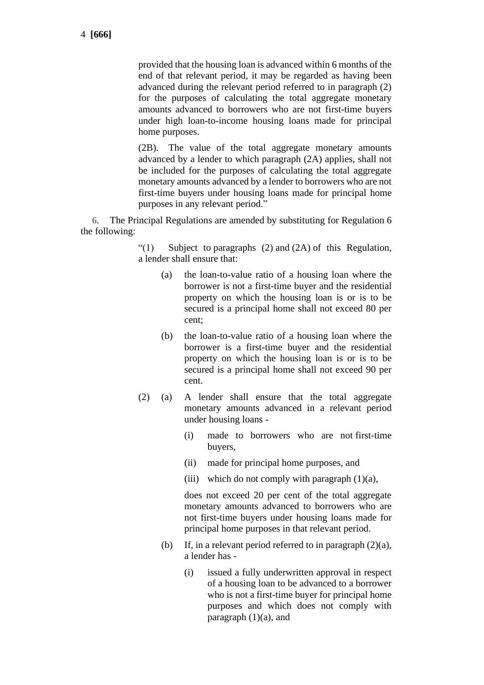provided that the housing loan is advanced within 6 months of the end of that relevant period, it may be regarded as having been advanced during the relevant period referred to in paragraph (2) for the purposes of calculating the total aggregate monetary amounts advanced to borrowers who are not first-time buyers under high loan-to-income housing loans made for principal home purposes.

(2B). The value of the total aggregate monetary amounts advanced by a lender to which paragraph (2A) applies, shall not be included for the purposes of calculating the total aggregate monetary amounts advanced by a lender to borrowers who are not first-time buyers under [housing loans](defid:43880) made for [principal home](defid:43889)  [purposes](defid:43889) in any [relevant period.](defid:43890)"

6. The Principal Regulations are amended by substituting for Regulation 6 the following:

> "(1) Subject to paragraphs (2) and (2A) of this Regulation, a lender shall ensure that:

- (a) the loan-to-value ratio of a housing loan where the borrower is not a first-time buyer and the residential property on which the [housing loan](defid:43880) is or is to be secured is a principal home shall not exceed 80 per cent;
- (b) the loan-to-value ratio of a housing loan where the borrower is a first-time buyer and the residential property on which the housing loan is or is to be secured is a principal home shall not exceed 90 per cent.
- (2) (a) A lender shall ensure that the total aggregate monetary amounts advanced in a [relevant](defid:43890) period under [housing loans](defid:43880) -
	- (i) made to [borrowers](defid:43876) who are not [first-time](defid:43878)  [buyers,](defid:43878)
	- (ii) made for [principal home purposes,](defid:43889) and
	- (iii) which do not comply with paragraph  $(1)(a)$ ,

does not exceed 20 per cent of the total aggregate monetary amounts advanced to [borrowers](defid:43876) who are not [first-time buyers](defid:43878) under [housing loans](defid:43880) made for [principal home purposes](defid:43889) in that [relevant period.](defid:43890)

- (b) If, in a relevant period referred to in paragraph  $(2)(a)$ , a lender has -
	- (i) issued a fully underwritten approval in respect of a housing loan to be advanced to a borrower who is not a first-time buyer for principal home purposes and which does not comply with paragraph  $(1)(a)$ , and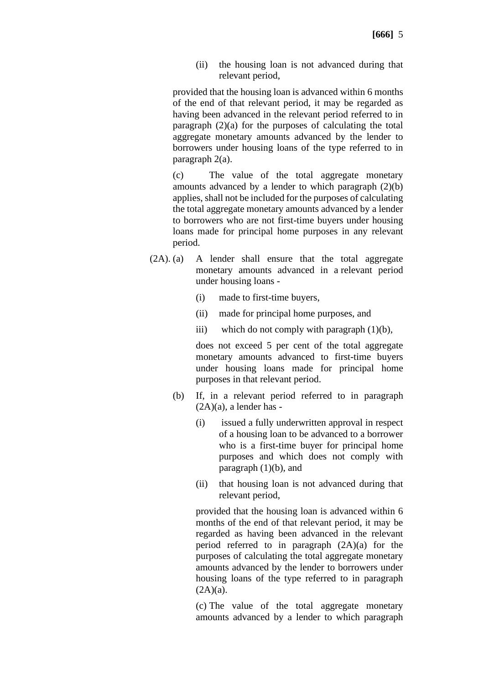(ii) the housing loan is not advanced during that relevant period,

provided that the housing loan is advanced within 6 months of the end of that relevant period, it may be regarded as having been advanced in the relevant period referred to in paragraph (2)(a) for the purposes of calculating the total aggregate monetary amounts advanced by the lender to borrowers under housing loans of the type referred to in paragraph 2(a).

(c) The value of the total aggregate monetary amounts advanced by a lender to which paragraph (2)(b) applies, shall not be included for the purposes of calculating the total aggregate monetary amounts advanced by a lender to borrowers who are not first-time buyers under housing loans made for principal home purposes in any relevant period.

- (2A). (a) A lender shall ensure that the total aggregate monetary amounts advanced in a [relevant period](defid:43890) under [housing loans](defid:43880) -
	- (i) made to [first-time buyers,](defid:43878)
	- (ii) made for [principal home purposes,](defid:43889) and
	- iii) which do not comply with paragraph  $(1)(b)$ ,

does not exceed 5 per cent of the total aggregate monetary amounts advanced to [first-time buyers](defid:43878) under [housing loans](defid:43880) made for [principal home](defid:43889)  [purposes](defid:43889) in that [relevant period.](defid:43890)

- (b) If, in a relevant period referred to in paragraph  $(2A)(a)$ , a lender has -
	- (i) issued a fully underwritten approval in respect of a housing loan to be advanced to a borrower who is a first-time buyer for principal home purposes and which does not comply with paragraph  $(1)(b)$ , and
	- (ii) that housing loan is not advanced during that relevant period,

provided that the housing loan is advanced within 6 months of the end of that relevant period, it may be regarded as having been advanced in the relevant period referred to in paragraph (2A)(a) for the purposes of calculating the total aggregate monetary amounts advanced by the lender to borrowers under housing loans of the type referred to in paragraph  $(2A)(a)$ .

(c) The value of the total aggregate monetary amounts advanced by a lender to which paragraph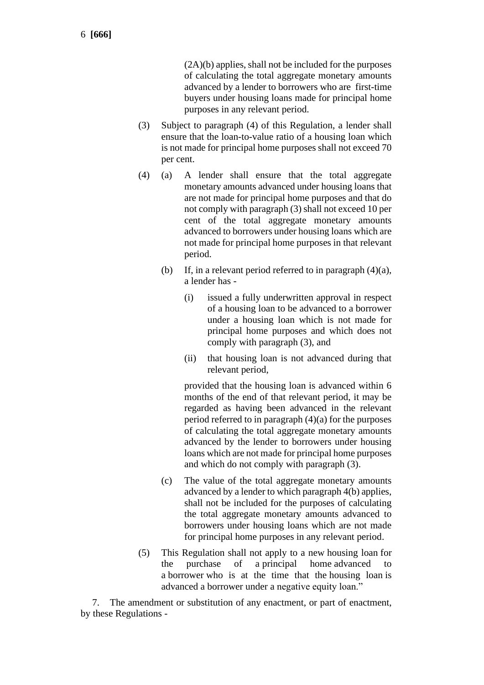(2A)(b) applies, shall not be included for the purposes of calculating the total aggregate monetary amounts advanced by a lender to borrowers who are first-time buyers under housing loans made for principal home purposes in any relevant period.

- (3) Subject to paragraph (4) of this Regulation, a [lender](defid:43883) shall ensure that the [loan-to-value ratio](defid:43884) of a [housing loan](defid:43880) which is not made for [principal home purposes](defid:43889) shall not exceed 70 per cent.
- (4) (a) A [lender](defid:43883) shall ensure that the total aggregate monetary amounts advanced under [housing loans](defid:43880) that are not made for principal home purposes and that do not comply with paragraph (3) shall not exceed 10 per cent of the total aggregate monetary amounts advanced to [borrowers](defid:43876) under [housing loans](defid:43880) which are not made for [principal home purposes](defid:43889) in that [relevant](defid:43890)  [period.](defid:43890)
	- (b) If, in a relevant period referred to in paragraph  $(4)(a)$ , a lender has -
		- (i) issued a fully underwritten approval in respect of a housing loan to be advanced to a borrower under a housing loan which is not made for principal home purposes and which does not comply with paragraph (3), and
		- (ii) that housing loan is not advanced during that relevant period,

provided that the housing loan is advanced within 6 months of the end of that relevant period, it may be regarded as having been advanced in the relevant period referred to in paragraph (4)(a) for the purposes of calculating the total aggregate monetary amounts advanced by the lender to borrowers under housing loans which are not made for principal home purposes and which do not comply with paragraph (3).

- (c) The value of the total aggregate monetary amounts advanced by a lender to which paragraph 4(b) applies, shall not be included for the purposes of calculating the total aggregate monetary amounts advanced to borrowers under housing loans which are not made for principal home purposes in any relevant period.
- (5) This Regulation shall not apply to a new housing loan for the purchase of a principal home advanced to a [borrower](defid:43876) who is at the time that the housing loan is advanced a [borrower](defid:43876) under a negative equity loan."

7. The amendment or substitution of any enactment, or part of enactment, by these Regulations -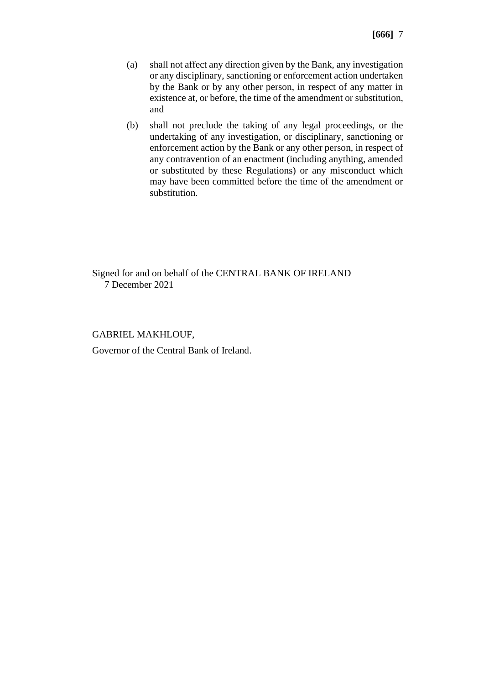- (a) shall not affect any direction given by the Bank, any investigation or any disciplinary, sanctioning or enforcement action undertaken by the Bank or by any other person, in respect of any matter in existence at, or before, the time of the amendment or substitution, and
- (b) shall not preclude the taking of any legal proceedings, or the undertaking of any investigation, or disciplinary, sanctioning or enforcement action by the Bank or any other person, in respect of any contravention of an enactment (including anything, amended or substituted by these Regulations) or any misconduct which may have been committed before the time of the amendment or substitution.

Signed for and on behalf of the CENTRAL BANK OF IRELAND 7 December 2021

#### GABRIEL MAKHLOUF,

Governor of the Central Bank of Ireland.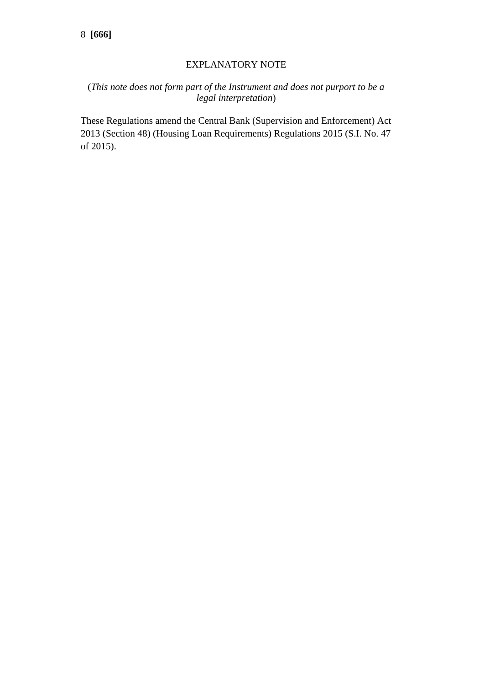### EXPLANATORY NOTE

## (*This note does not form part of the Instrument and does not purport to be a legal interpretation*)

These Regulations amend the [Central Bank \(Supervision and Enforcement\) Act](https://service.betterregulation.com/document/176696)  [2013 \(Section 48\) \(Housing Loan Requirements\) Regulations 2015 \(S.I. No. 47](https://service.betterregulation.com/document/176696)  [of 2015\).](https://service.betterregulation.com/document/176696)